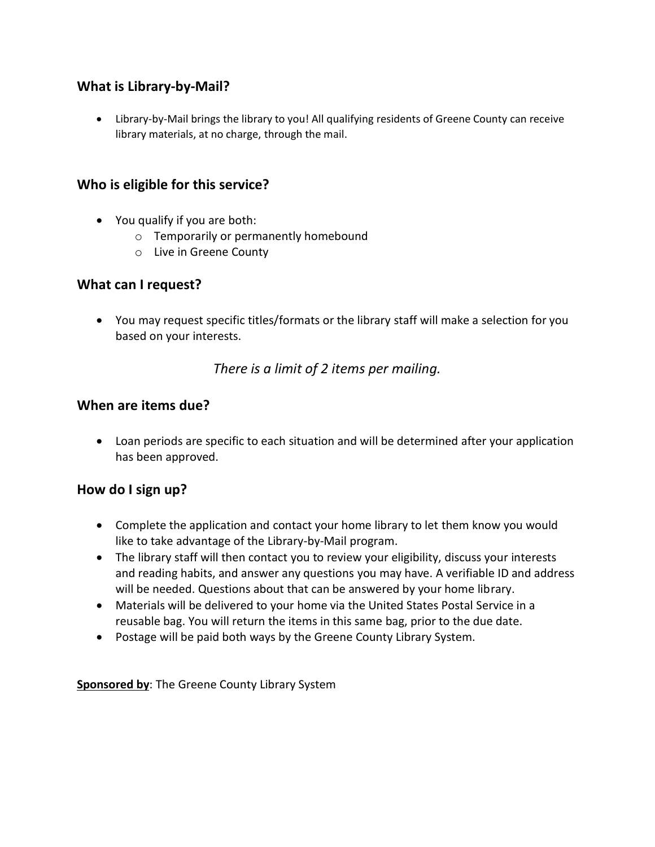## **What is Library-by-Mail?**

 Library-by-Mail brings the library to you! All qualifying residents of Greene County can receive library materials, at no charge, through the mail.

### **Who is eligible for this service?**

- You qualify if you are both:
	- o Temporarily or permanently homebound
	- o Live in Greene County

### **What can I request?**

 You may request specific titles/formats or the library staff will make a selection for you based on your interests.

## *There is a limit of 2 items per mailing.*

### **When are items due?**

 Loan periods are specific to each situation and will be determined after your application has been approved.

## **How do I sign up?**

- Complete the application and contact your home library to let them know you would like to take advantage of the Library-by-Mail program.
- The library staff will then contact you to review your eligibility, discuss your interests and reading habits, and answer any questions you may have. A verifiable ID and address will be needed. Questions about that can be answered by your home library.
- Materials will be delivered to your home via the United States Postal Service in a reusable bag. You will return the items in this same bag, prior to the due date.
- Postage will be paid both ways by the Greene County Library System.

**Sponsored by**: The Greene County Library System